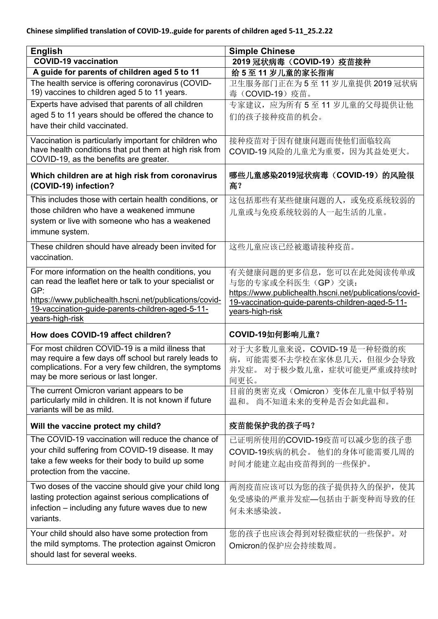| <b>English</b>                                                                                             | <b>Simple Chinese</b>                                  |
|------------------------------------------------------------------------------------------------------------|--------------------------------------------------------|
| <b>COVID-19 vaccination</b>                                                                                | 2019 冠状病毒 (COVID-19) 疫苗接种                              |
| A guide for parents of children aged 5 to 11                                                               | 给5至11岁儿童的家长指南                                          |
| The health service is offering coronavirus (COVID-<br>19) vaccines to children aged 5 to 11 years.         | 卫生服务部门正在为5至11岁儿童提供2019冠状病<br>毒 (COVID-19) 疫苗。          |
| Experts have advised that parents of all children                                                          | 专家建议, 应为所有 5 至 11 岁儿童的父母提供让他                           |
| aged 5 to 11 years should be offered the chance to                                                         | 们的孩子接种疫苗的机会。                                           |
| have their child vaccinated.                                                                               |                                                        |
| Vaccination is particularly important for children who                                                     | 接种疫苗对于因有健康问题而使他们面临较高                                   |
| have health conditions that put them at high risk from                                                     | COVID-19 风险的儿童尤为重要, 因为其益处更大。                           |
| COVID-19, as the benefits are greater.                                                                     |                                                        |
| Which children are at high risk from coronavirus<br>(COVID-19) infection?                                  | 哪些儿童感染2019冠状病毒 (COVID-19) 的风险很<br>高?                   |
| This includes those with certain health conditions, or                                                     | 这包括那些有某些健康问题的人, 或免疫系统较弱的                               |
| those children who have a weakened immune                                                                  | 儿童或与免疫系统较弱的人一起生活的儿童。                                   |
| system or live with someone who has a weakened                                                             |                                                        |
| immune system.                                                                                             |                                                        |
| These children should have already been invited for                                                        | 这些儿童应该已经被邀请接种疫苗。                                       |
| vaccination.                                                                                               |                                                        |
| For more information on the health conditions, you                                                         | 有关健康问题的更多信息, 您可以在此处阅读传单或                               |
| can read the leaflet here or talk to your specialist or                                                    | 与您的专家或全科医生(GP)交谈:                                      |
| GP:                                                                                                        | https://www.publichealth.hscni.net/publications/covid- |
| https://www.publichealth.hscni.net/publications/covid-<br>19-vaccination-guide-parents-children-aged-5-11- | 19-vaccination-guide-parents-children-aged-5-11-       |
| years-high-risk                                                                                            | years-high-risk                                        |
| How does COVID-19 affect children?                                                                         | COVID-19如何影响儿童?                                        |
| For most children COVID-19 is a mild illness that                                                          | 对于大多数儿童来说, COVID-19 是一种轻微的疾                            |
| may require a few days off school but rarely leads to                                                      | 病, 可能需要不去学校在家休息几天, 但很少会导致                              |
| complications. For a very few children, the symptoms                                                       | 并发症。 对于极少数儿童,症状可能更严重或持续时                               |
| may be more serious or last longer.                                                                        | 间更长。                                                   |
| The current Omicron variant appears to be                                                                  | 目前的奥密克戎 (Omicron) 变体在儿童中似乎特别                           |
| particularly mild in children. It is not known if future<br>variants will be as mild.                      | 温和。尚不知道未来的变种是否会如此温和。                                   |
| Will the vaccine protect my child?                                                                         | 疫苗能保护我的孩子吗?                                            |
|                                                                                                            |                                                        |
| The COVID-19 vaccination will reduce the chance of                                                         | 已证明所使用的COVID-19疫苗可以减少您的孩子患                             |
| your child suffering from COVID-19 disease. It may                                                         |                                                        |
| take a few weeks for their body to build up some                                                           | COVID-19疾病的机会。他们的身体可能需要几周的                             |
| protection from the vaccine.                                                                               | 时间才能建立起由疫苗得到的一些保护。                                     |
| Two doses of the vaccine should give your child long                                                       | 两剂疫苗应该可以为您的孩子提供持久的保护, 使其                               |
| lasting protection against serious complications of                                                        |                                                        |
| infection – including any future waves due to new                                                          | 免受感染的严重并发症—包括由于新变种而导致的任                                |
| variants.                                                                                                  | 何未来感染波。                                                |
| Your child should also have some protection from                                                           |                                                        |
| the mild symptoms. The protection against Omicron                                                          | 您的孩子也应该会得到对轻微症状的一些保护。对                                 |
| should last for several weeks.                                                                             | Omicron的保护应会持续数周。                                      |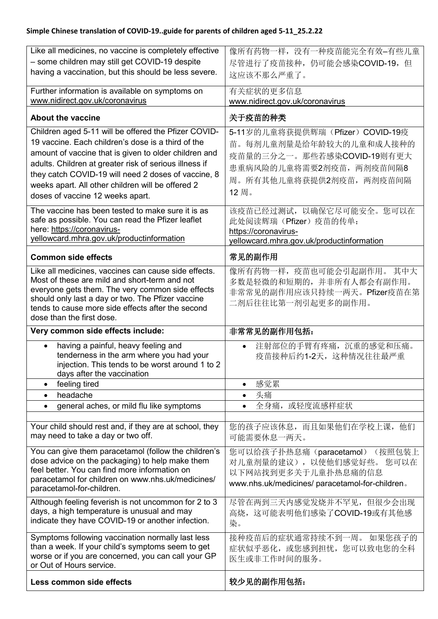| Like all medicines, no vaccine is completely effective                                                   | 像所有药物一样, 没有一种疫苗能完全有效-有些儿童                                  |
|----------------------------------------------------------------------------------------------------------|------------------------------------------------------------|
| - some children may still get COVID-19 despite<br>having a vaccination, but this should be less severe.  | 尽管进行了疫苗接种, 仍可能会感染COVID-19, 但                               |
|                                                                                                          | 这应该不那么严重了。                                                 |
| Further information is available on symptoms on                                                          | 有关症状的更多信息                                                  |
| www.nidirect.gov.uk/coronavirus                                                                          | www.nidirect.gov.uk/coronavirus                            |
| <b>About the vaccine</b>                                                                                 | 关于疫苗的种类                                                    |
| Children aged 5-11 will be offered the Pfizer COVID-                                                     | 5-11岁的儿童将获提供辉瑞(Pfizer) COVID-19疫                           |
| 19 vaccine. Each children's dose is a third of the                                                       | 苗。每剂儿童剂量是给年龄较大的儿童和成人接种的                                    |
| amount of vaccine that is given to older children and                                                    | 疫苗量的三分之一。那些若感染COVID-19则有更大                                 |
| adults. Children at greater risk of serious illness if                                                   | 患重病风险的儿童将需要2剂疫苗, 两剂疫苗间隔8                                   |
| they catch COVID-19 will need 2 doses of vaccine, 8                                                      | 周。所有其他儿童将获提供2剂疫苗, 两剂疫苗间隔                                   |
| weeks apart. All other children will be offered 2                                                        | 12周。                                                       |
| doses of vaccine 12 weeks apart.                                                                         |                                                            |
| The vaccine has been tested to make sure it is as                                                        | 该疫苗已经过测试,以确保它尽可能安全。您可以在                                    |
| safe as possible. You can read the Pfizer leaflet                                                        | 此处阅读辉瑞(Pfizer)疫苗的传单:                                       |
| here: https://coronavirus-                                                                               | https://coronavirus-                                       |
| yellowcard.mhra.gov.uk/productinformation                                                                | yellowcard.mhra.gov.uk/productinformation                  |
| <b>Common side effects</b>                                                                               | 常见的副作用                                                     |
| Like all medicines, vaccines can cause side effects.                                                     | 像所有药物一样, 疫苗也可能会引起副作用。其中大                                   |
| Most of these are mild and short-term and not                                                            | 多数是轻微的和短期的,并非所有人都会有副作用。                                    |
| everyone gets them. The very common side effects<br>should only last a day or two. The Pfizer vaccine    | 非常常见的副作用应该只持续一两天。Pfizer疫苗在第                                |
| tends to cause more side effects after the second                                                        | 二剂后往往比第一剂引起更多的副作用。                                         |
| dose than the first dose.                                                                                |                                                            |
| Very common side effects include:                                                                        | 非常常见的副作用包括:                                                |
| having a painful, heavy feeling and<br>$\bullet$                                                         | 注射部位的手臂有疼痛,沉重的感觉和压痛。<br>$\bullet$                          |
| tenderness in the arm where you had your                                                                 | 疫苗接种后约1-2天, 这种情况往往最严重                                      |
| injection. This tends to be worst around 1 to 2                                                          |                                                            |
| days after the vaccination                                                                               |                                                            |
| feeling tired<br>$\bullet$<br>headache<br>$\bullet$                                                      | 感觉累<br>$\bullet$<br>头痛<br>$\bullet$                        |
| general aches, or mild flu like symptoms<br>$\bullet$                                                    | 或轻度流感样症状<br>全身痛,                                           |
|                                                                                                          |                                                            |
| Your child should rest and, if they are at school, they                                                  | 您的孩子应该休息,而且如果他们在学校上课,他们                                    |
| may need to take a day or two off.                                                                       | 可能需要休息一两天。                                                 |
|                                                                                                          |                                                            |
| You can give them paracetamol (follow the children's<br>dose advice on the packaging) to help make them  | 您可以给孩子扑热息痛(paracetamol) (按照包装上<br>对儿童剂量的建议), 以使他们感觉好些。您可以在 |
| feel better. You can find more information on                                                            |                                                            |
| paracetamol for children on www.nhs.uk/medicines/                                                        |                                                            |
|                                                                                                          | 以下网站找到更多关于儿童扑热息痛的信息                                        |
| paracetamol-for-children.                                                                                | www.nhs.uk/medicines/ paracetamol-for-children.            |
|                                                                                                          |                                                            |
| Although feeling feverish is not uncommon for 2 to 3<br>days, a high temperature is unusual and may      | 尽管在两到三天内感觉发烧并不罕见,但很少会出现<br>高烧, 这可能表明他们感染了COVID-19或有其他感     |
| indicate they have COVID-19 or another infection.                                                        | 染。                                                         |
|                                                                                                          |                                                            |
| Symptoms following vaccination normally last less                                                        | 接种疫苗后的症状通常持续不到一周。如果您孩子的                                    |
| than a week. If your child's symptoms seem to get<br>worse or if you are concerned, you can call your GP | 症状似乎恶化, 或您感到担忧, 您可以致电您的全科                                  |
| or Out of Hours service.                                                                                 | 医生或非工作时间的服务。                                               |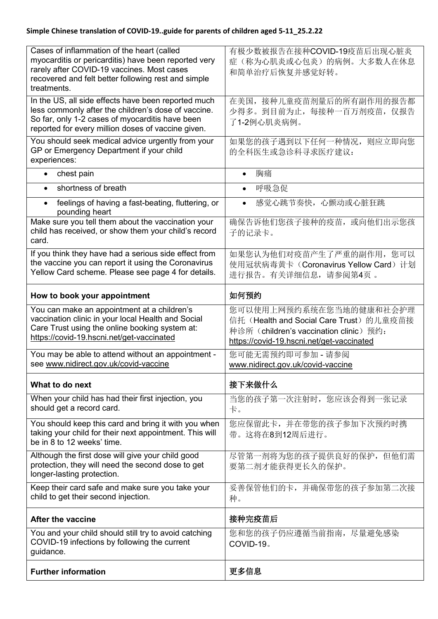| Cases of inflammation of the heart (called<br>myocarditis or pericarditis) have been reported very<br>rarely after COVID-19 vaccines. Most cases<br>recovered and felt better following rest and simple<br>treatments. | 有极少数被报告在接种COVID-19疫苗后出现心脏炎<br>症(称为心肌炎或心包炎)的病例。大多数人在休息<br>和简单治疗后恢复并感觉好转。                                                                                   |
|------------------------------------------------------------------------------------------------------------------------------------------------------------------------------------------------------------------------|-----------------------------------------------------------------------------------------------------------------------------------------------------------|
| In the US, all side effects have been reported much<br>less commonly after the children's dose of vaccine.<br>So far, only 1-2 cases of myocarditis have been<br>reported for every million doses of vaccine given.    | 在美国,接种儿童疫苗剂量后的所有副作用的报告都<br>少得多。到目前为止, 每接种一百万剂疫苗, 仅报告<br>了1-2例心肌炎病例。                                                                                       |
| You should seek medical advice urgently from your<br>GP or Emergency Department if your child<br>experiences:                                                                                                          | 如果您的孩子遇到以下任何一种情况,<br>则应立即向您<br>的全科医生或急诊科寻求医疗建议:                                                                                                           |
| chest pain<br>$\bullet$                                                                                                                                                                                                | 胸痛<br>$\bullet$                                                                                                                                           |
| shortness of breath<br>$\bullet$                                                                                                                                                                                       | 呼吸急促<br>$\bullet$                                                                                                                                         |
| feelings of having a fast-beating, fluttering, or<br>$\bullet$<br>pounding heart                                                                                                                                       | 感觉心跳节奏快,心颤动或心脏狂跳                                                                                                                                          |
| Make sure you tell them about the vaccination your<br>child has received, or show them your child's record<br>card.                                                                                                    | 确保告诉他们您孩子接种的疫苗, 或向他们出示您孩<br>子的记录卡。                                                                                                                        |
| If you think they have had a serious side effect from<br>the vaccine you can report it using the Coronavirus<br>Yellow Card scheme. Please see page 4 for details.                                                     | 如果您认为他们对疫苗产生了严重的副作用, 您可以<br>使用冠状病毒黄卡 (Coronavirus Yellow Card) 计划<br>进行报告。有关详细信息,请参阅第4页。                                                                  |
| How to book your appointment                                                                                                                                                                                           | 如何预约                                                                                                                                                      |
| You can make an appointment at a children's<br>vaccination clinic in your local Health and Social<br>Care Trust using the online booking system at:<br>https://covid-19.hscni.net/get-vaccinated                       | 您可以使用上网预约系统在您当地的健康和社会护理<br>信托(Health and Social Care Trust)的儿童疫苗接<br>种诊所 (children's vaccination clinic) 预约:<br>https://covid-19.hscni.net/get-vaccinated |
| You may be able to attend without an appointment -<br>see www.nidirect.gov.uk/covid-vaccine                                                                                                                            | 您可能无需预约即可参加 - 请参阅<br>www.nidirect.gov.uk/covid-vaccine                                                                                                    |
| What to do next                                                                                                                                                                                                        | 接下来做什么                                                                                                                                                    |
| When your child has had their first injection, you<br>should get a record card.                                                                                                                                        | 当您的孩子第一次注射时, 您应该会得到一张记录<br>卡。                                                                                                                             |
| You should keep this card and bring it with you when<br>taking your child for their next appointment. This will<br>be in 8 to 12 weeks' time.                                                                          | 您应保留此卡,并在带您的孩子参加下次预约时携<br>带。这将在8到12周后进行。                                                                                                                  |
| Although the first dose will give your child good<br>protection, they will need the second dose to get<br>longer-lasting protection.                                                                                   | 尽管第一剂将为您的孩子提供良好的保护, 但他们需<br>要第二剂才能获得更长久的保护。                                                                                                               |
| Keep their card safe and make sure you take your<br>child to get their second injection.                                                                                                                               | 妥善保管他们的卡, 并确保带您的孩子参加第二次接<br>种。                                                                                                                            |
| <b>After the vaccine</b>                                                                                                                                                                                               | 接种完疫苗后                                                                                                                                                    |
| You and your child should still try to avoid catching<br>COVID-19 infections by following the current<br>guidance.                                                                                                     | 您和您的孩子仍应遵循当前指南, 尽量避免感染<br>COVID-19。                                                                                                                       |
| <b>Further information</b>                                                                                                                                                                                             | 更多信息                                                                                                                                                      |